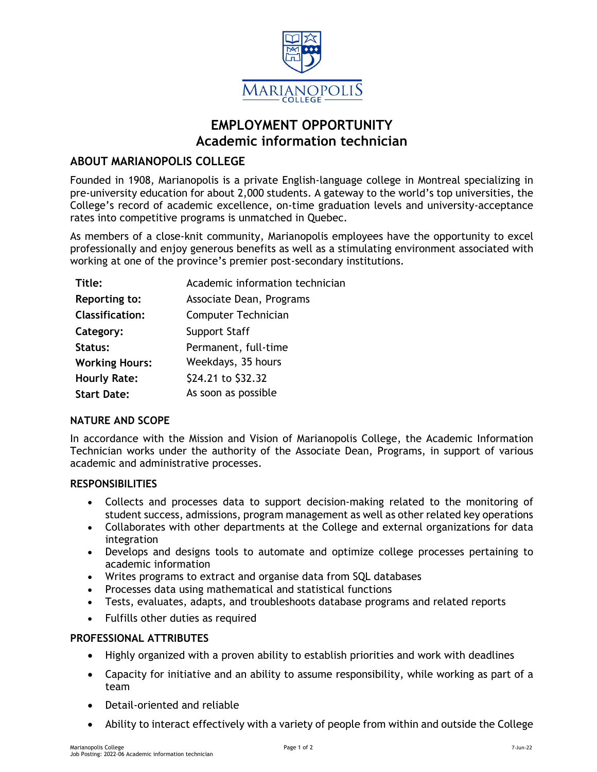

# **EMPLOYMENT OPPORTUNITY Academic information technician**

# **ABOUT MARIANOPOLIS COLLEGE**

Founded in 1908, Marianopolis is a private English-language college in Montreal specializing in pre-university education for about 2,000 students. A gateway to the world's top universities, the College's record of academic excellence, on-time graduation levels and university-acceptance rates into competitive programs is unmatched in Quebec.

As members of a close-knit community, Marianopolis employees have the opportunity to excel professionally and enjoy generous benefits as well as a stimulating environment associated with working at one of the province's premier post-secondary institutions.

| Title:                 | Academic information technician |
|------------------------|---------------------------------|
| Reporting to:          | Associate Dean, Programs        |
| <b>Classification:</b> | Computer Technician             |
| Category:              | <b>Support Staff</b>            |
| Status:                | Permanent, full-time            |
| <b>Working Hours:</b>  | Weekdays, 35 hours              |
| <b>Hourly Rate:</b>    | \$24.21 to \$32.32              |
| <b>Start Date:</b>     | As soon as possible             |

# **NATURE AND SCOPE**

In accordance with the Mission and Vision of Marianopolis College, the Academic Information Technician works under the authority of the Associate Dean, Programs, in support of various academic and administrative processes.

## **RESPONSIBILITIES**

- Collects and processes data to support decision-making related to the monitoring of student success, admissions, program management as well as other related key operations
- Collaborates with other departments at the College and external organizations for data integration
- Develops and designs tools to automate and optimize college processes pertaining to academic information
- Writes programs to extract and organise data from SQL databases
- Processes data using mathematical and statistical functions
- Tests, evaluates, adapts, and troubleshoots database programs and related reports
- Fulfills other duties as required

## **PROFESSIONAL ATTRIBUTES**

- Highly organized with a proven ability to establish priorities and work with deadlines
- Capacity for initiative and an ability to assume responsibility, while working as part of a team
- Detail-oriented and reliable
- Ability to interact effectively with a variety of people from within and outside the College